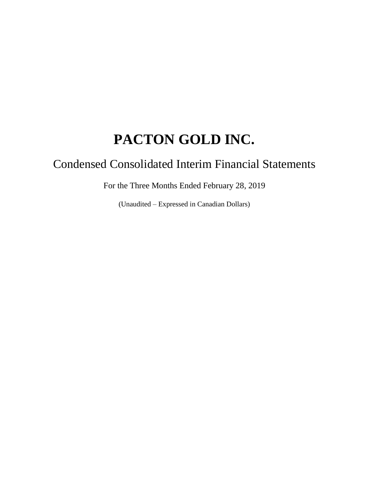# Condensed Consolidated Interim Financial Statements

For the Three Months Ended February 28, 2019

(Unaudited – Expressed in Canadian Dollars)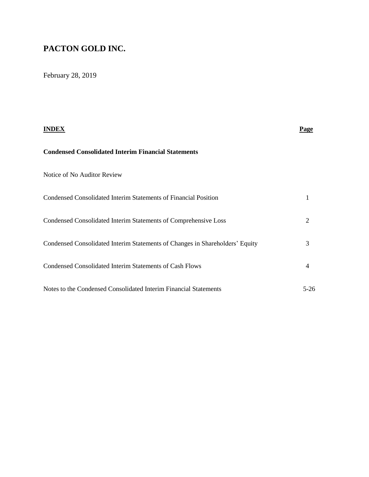February 28, 2019

|                                                                              | <b>Page</b> |
|------------------------------------------------------------------------------|-------------|
| <b>Condensed Consolidated Interim Financial Statements</b>                   |             |
| Notice of No Auditor Review                                                  |             |
| Condensed Consolidated Interim Statements of Financial Position              |             |
| Condensed Consolidated Interim Statements of Comprehensive Loss              | 2           |
| Condensed Consolidated Interim Statements of Changes in Shareholders' Equity | 3           |
| Condensed Consolidated Interim Statements of Cash Flows                      | 4           |
| Notes to the Condensed Consolidated Interim Financial Statements             | $5-26$      |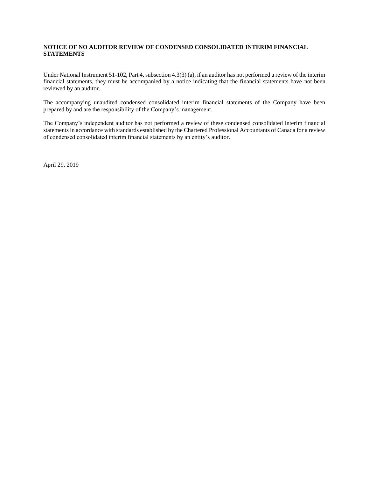#### **NOTICE OF NO AUDITOR REVIEW OF CONDENSED CONSOLIDATED INTERIM FINANCIAL STATEMENTS**

Under National Instrument 51-102, Part 4, subsection 4.3(3) (a), if an auditor has not performed a review of the interim financial statements, they must be accompanied by a notice indicating that the financial statements have not been reviewed by an auditor.

The accompanying unaudited condensed consolidated interim financial statements of the Company have been prepared by and are the responsibility of the Company's management.

The Company's independent auditor has not performed a review of these condensed consolidated interim financial statements in accordance with standards established by the Chartered Professional Accountants of Canada for a review of condensed consolidated interim financial statements by an entity's auditor.

April 29, 2019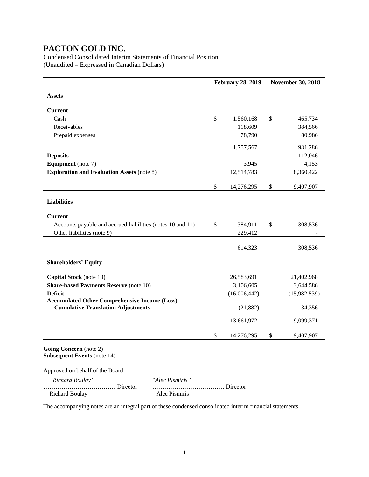Condensed Consolidated Interim Statements of Financial Position (Unaudited – Expressed in Canadian Dollars)

|                                                                                                     | <b>February 28, 2019</b> | <b>November 30, 2018</b> |
|-----------------------------------------------------------------------------------------------------|--------------------------|--------------------------|
| <b>Assets</b>                                                                                       |                          |                          |
| <b>Current</b>                                                                                      |                          |                          |
| Cash                                                                                                | \$<br>1,560,168          | \$<br>465,734            |
| Receivables                                                                                         | 118,609                  | 384,566                  |
| Prepaid expenses                                                                                    | 78,790                   | 80,986                   |
|                                                                                                     | 1,757,567                | 931,286                  |
| <b>Deposits</b>                                                                                     |                          | 112,046                  |
| <b>Equipment</b> (note 7)                                                                           | 3,945                    | 4,153                    |
| <b>Exploration and Evaluation Assets (note 8)</b>                                                   | 12,514,783               | 8,360,422                |
|                                                                                                     | \$<br>14,276,295         | \$<br>9,407,907          |
| <b>Liabilities</b>                                                                                  |                          |                          |
| <b>Current</b>                                                                                      |                          |                          |
| Accounts payable and accrued liabilities (notes 10 and 11)                                          | \$<br>384,911            | \$<br>308,536            |
| Other liabilities (note 9)                                                                          | 229,412                  |                          |
|                                                                                                     | 614,323                  | 308,536                  |
| <b>Shareholders' Equity</b>                                                                         |                          |                          |
| Capital Stock (note 10)                                                                             | 26,583,691               | 21,402,968               |
| <b>Share-based Payments Reserve (note 10)</b>                                                       | 3,106,605                | 3,644,586                |
| <b>Deficit</b>                                                                                      | (16,006,442)             | (15,982,539)             |
| <b>Accumulated Other Comprehensive Income (Loss) -</b><br><b>Cumulative Translation Adjustments</b> | (21, 882)                | 34,356                   |
|                                                                                                     | 13,661,972               | 9,099,371                |
|                                                                                                     | \$<br>14,276,295         | \$<br>9,407,907          |
| Going Concern (note 2)<br><b>Subsequent Events (note 14)</b>                                        |                          |                          |
| Approved on behalf of the Board:                                                                    |                          |                          |
| "Richard Boulay"<br>"Alec Pismiris"                                                                 |                          |                          |
|                                                                                                     |                          |                          |

The accompanying notes are an integral part of these condensed consolidated interim financial statements.

Richard Boulay Alec Pismiris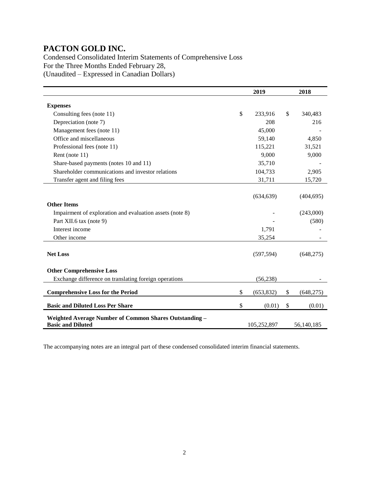Condensed Consolidated Interim Statements of Comprehensive Loss For the Three Months Ended February 28, (Unaudited – Expressed in Canadian Dollars)

|                                                                                    |    | 2018        |    |            |  |
|------------------------------------------------------------------------------------|----|-------------|----|------------|--|
| <b>Expenses</b>                                                                    |    |             |    |            |  |
| Consulting fees (note 11)                                                          | \$ | 233,916     | \$ | 340,483    |  |
| Depreciation (note 7)                                                              |    | 208         |    | 216        |  |
| Management fees (note 11)                                                          |    | 45,000      |    |            |  |
| Office and miscellaneous                                                           |    | 59,140      |    | 4,850      |  |
| Professional fees (note 11)                                                        |    | 115,221     |    | 31,521     |  |
| Rent (note 11)                                                                     |    | 9,000       |    | 9,000      |  |
| Share-based payments (notes 10 and 11)                                             |    | 35,710      |    |            |  |
| Shareholder communications and investor relations                                  |    | 104,733     |    | 2,905      |  |
| Transfer agent and filing fees                                                     |    | 31,711      |    | 15,720     |  |
|                                                                                    |    |             |    |            |  |
|                                                                                    |    | (634, 639)  |    | (404, 695) |  |
| <b>Other Items</b>                                                                 |    |             |    |            |  |
| Impairment of exploration and evaluation assets (note 8)                           |    |             |    | (243,000)  |  |
| Part XII.6 tax (note 9)                                                            |    |             |    | (580)      |  |
| Interest income                                                                    |    | 1,791       |    |            |  |
| Other income                                                                       |    | 35,254      |    |            |  |
|                                                                                    |    |             |    |            |  |
| <b>Net Loss</b>                                                                    |    | (597, 594)  |    | (648,275)  |  |
|                                                                                    |    |             |    |            |  |
| <b>Other Comprehensive Loss</b>                                                    |    |             |    |            |  |
| Exchange difference on translating foreign operations                              |    | (56, 238)   |    |            |  |
| <b>Comprehensive Loss for the Period</b>                                           | \$ | (653, 832)  | \$ | (648, 275) |  |
| <b>Basic and Diluted Loss Per Share</b>                                            | \$ | (0.01)      | \$ | (0.01)     |  |
|                                                                                    |    |             |    |            |  |
| Weighted Average Number of Common Shares Outstanding -<br><b>Basic and Diluted</b> |    | 105,252,897 |    | 56,140,185 |  |

The accompanying notes are an integral part of these condensed consolidated interim financial statements.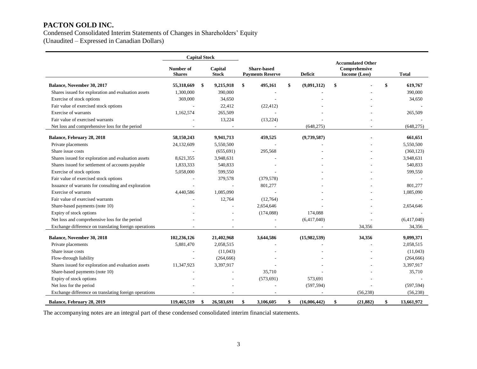Condensed Consolidated Interim Statements of Changes in Shareholders' Equity

(Unaudited – Expressed in Canadian Dollars)

|                                                       | <b>Capital Stock</b>       |                         |                                               |                |              |                 |                  |  |  |                                                            |              |
|-------------------------------------------------------|----------------------------|-------------------------|-----------------------------------------------|----------------|--------------|-----------------|------------------|--|--|------------------------------------------------------------|--------------|
|                                                       | Number of<br><b>Shares</b> | Capital<br><b>Stock</b> | <b>Share-based</b><br><b>Payments Reserve</b> | <b>Deficit</b> |              |                 |                  |  |  | <b>Accumulated Other</b><br>Comprehensive<br>Income (Loss) | <b>Total</b> |
| Balance, November 30, 2017                            | 55,318,669                 | \$<br>9,215,918         | \$<br>495,161                                 | \$             | (9,091,312)  | \$              | \$<br>619,767    |  |  |                                                            |              |
| Shares issued for exploration and evaluation assets   | 1,300,000                  | 390,000                 |                                               |                |              |                 | 390,000          |  |  |                                                            |              |
| Exercise of stock options                             | 369,000                    | 34,650                  |                                               |                |              |                 | 34,650           |  |  |                                                            |              |
| Fair value of exercised stock options                 |                            | 22,412                  | (22, 412)                                     |                |              |                 |                  |  |  |                                                            |              |
| Exercise of warrants                                  | 1,162,574                  | 265,509                 |                                               |                |              |                 | 265,509          |  |  |                                                            |              |
| Fair value of exercised warrants                      |                            | 13,224                  | (13,224)                                      |                |              |                 |                  |  |  |                                                            |              |
| Net loss and comprehensive loss for the period        |                            |                         |                                               |                | (648, 275)   |                 | (648, 275)       |  |  |                                                            |              |
| Balance, February 28, 2018                            | 58,150,243                 | 9,941,713               | 459,525                                       |                | (9,739,587)  |                 | 661,651          |  |  |                                                            |              |
| Private placements                                    | 24,132,609                 | 5,550,500               |                                               |                |              |                 | 5,550,500        |  |  |                                                            |              |
| Share issue costs                                     |                            | (655, 691)              | 295,568                                       |                |              |                 | (360, 123)       |  |  |                                                            |              |
| Shares issued for exploration and evaluation assets   | 8,621,355                  | 3,948,631               |                                               |                |              |                 | 3,948,631        |  |  |                                                            |              |
| Shares issued for settlement of accounts payable      | 1,833,333                  | 540,833                 |                                               |                |              |                 | 540,833          |  |  |                                                            |              |
| Exercise of stock options                             | 5,058,000                  | 599,550                 |                                               |                |              |                 | 599,550          |  |  |                                                            |              |
| Fair value of exercised stock options                 |                            | 379,578                 | (379, 578)                                    |                |              |                 |                  |  |  |                                                            |              |
| Issuance of warrants for consulting and exploration   |                            |                         | 801,277                                       |                |              |                 | 801,277          |  |  |                                                            |              |
| Exercise of warrants                                  | 4,440,586                  | 1,085,090               |                                               |                |              |                 | 1,085,090        |  |  |                                                            |              |
| Fair value of exercised warrants                      |                            | 12,764                  | (12,764)                                      |                |              |                 |                  |  |  |                                                            |              |
| Share-based payments (note 10)                        |                            |                         | 2,654,646                                     |                |              |                 | 2,654,646        |  |  |                                                            |              |
| Expiry of stock options                               |                            |                         | (174,088)                                     |                | 174,088      |                 |                  |  |  |                                                            |              |
| Net loss and comprehensive loss for the period        |                            |                         |                                               |                | (6,417,040)  |                 | (6,417,040)      |  |  |                                                            |              |
| Exchange difference on translating foreign operations |                            |                         |                                               |                |              | 34,356          | 34,356           |  |  |                                                            |              |
| Balance, November 30, 2018                            | 102,236,126                | 21,402,968              | 3,644,586                                     |                | (15,982,539) | 34,356          | 9,099,371        |  |  |                                                            |              |
| Private placements                                    | 5,881,470                  | 2,058,515               |                                               |                |              |                 | 2,058,515        |  |  |                                                            |              |
| Share issue costs                                     |                            | (11,043)                |                                               |                |              |                 | (11,043)         |  |  |                                                            |              |
| Flow-through liability                                |                            | (264, 666)              |                                               |                |              |                 | (264, 666)       |  |  |                                                            |              |
| Shares issued for exploration and evaluation assets   | 11,347,923                 | 3,397,917               |                                               |                |              |                 | 3,397,917        |  |  |                                                            |              |
| Share-based payments (note 10)                        |                            |                         | 35,710                                        |                |              |                 | 35,710           |  |  |                                                            |              |
| Expiry of stock options                               |                            |                         | (573, 691)                                    |                | 573,691      |                 |                  |  |  |                                                            |              |
| Net loss for the period                               |                            |                         |                                               |                | (597, 594)   |                 | (597, 594)       |  |  |                                                            |              |
| Exchange difference on translating foreign operations |                            |                         |                                               |                |              | (56, 238)       | (56, 238)        |  |  |                                                            |              |
| Balance, February 28, 2019                            | 119,465,519                | \$<br>26,583,691        | \$<br>3,106,605                               | \$             | (16,006,442) | \$<br>(21, 882) | \$<br>13,661,972 |  |  |                                                            |              |

The accompanying notes are an integral part of these condensed consolidated interim financial statements.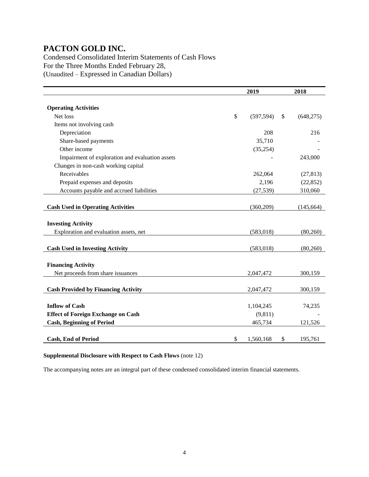Condensed Consolidated Interim Statements of Cash Flows For the Three Months Ended February 28, (Unaudited – Expressed in Canadian Dollars)

|                                                 | 2019             | 2018 |            |  |
|-------------------------------------------------|------------------|------|------------|--|
|                                                 |                  |      |            |  |
| <b>Operating Activities</b>                     |                  |      |            |  |
| Net loss                                        | \$<br>(597, 594) | \$   | (648, 275) |  |
| Items not involving cash                        |                  |      |            |  |
| Depreciation                                    | 208              |      | 216        |  |
| Share-based payments                            | 35,710           |      |            |  |
| Other income                                    | (35, 254)        |      |            |  |
| Impairment of exploration and evaluation assets |                  |      | 243,000    |  |
| Changes in non-cash working capital             |                  |      |            |  |
| Receivables                                     | 262,064          |      | (27, 813)  |  |
| Prepaid expenses and deposits                   | 2,196            |      | (22, 852)  |  |
| Accounts payable and accrued liabilities        | (27, 539)        |      | 310,060    |  |
|                                                 |                  |      |            |  |
| <b>Cash Used in Operating Activities</b>        | (360, 209)       |      | (145, 664) |  |
|                                                 |                  |      |            |  |
| <b>Investing Activity</b>                       |                  |      |            |  |
| Exploration and evaluation assets, net          | (583, 018)       |      | (80,260)   |  |
|                                                 |                  |      |            |  |
| <b>Cash Used in Investing Activity</b>          | (583, 018)       |      | (80,260)   |  |
|                                                 |                  |      |            |  |
| <b>Financing Activity</b>                       |                  |      |            |  |
| Net proceeds from share issuances               | 2,047,472        |      | 300,159    |  |
|                                                 |                  |      |            |  |
| <b>Cash Provided by Financing Activity</b>      | 2,047,472        |      | 300,159    |  |
|                                                 |                  |      |            |  |
| <b>Inflow of Cash</b>                           | 1,104,245        |      | 74,235     |  |
| <b>Effect of Foreign Exchange on Cash</b>       | (9, 811)         |      |            |  |
| <b>Cash, Beginning of Period</b>                | 465,734          |      | 121,526    |  |
|                                                 |                  |      |            |  |
| <b>Cash, End of Period</b>                      | \$<br>1,560,168  | \$   | 195,761    |  |

### **Supplemental Disclosure with Respect to Cash Flows** (note 12)

The accompanying notes are an integral part of these condensed consolidated interim financial statements.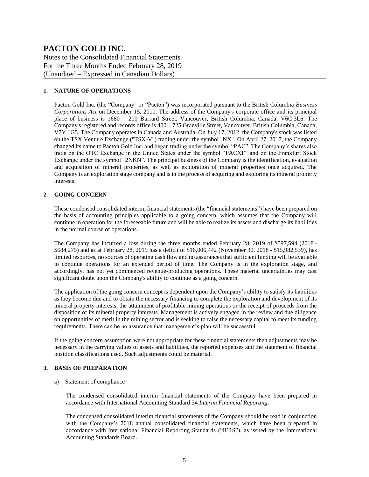Notes to the Consolidated Financial Statements For the Three Months Ended February 28, 2019 (Unaudited – Expressed in Canadian Dollars)

#### **1. NATURE OF OPERATIONS**

Pacton Gold Inc. (the "Company" or "Pacton") was incorporated pursuant to the British Columbia *Business Corporations Act* on December 15, 2010. The address of the Company's corporate office and its principal place of business is 1680 – 200 Burrard Street, Vancouver, British Columbia, Canada, V6C 3L6. The Company's registered and records office is  $400 - 725$  Granville Street, Vancouver, British Columbia, Canada, V7Y 1G5. The Company operates in Canada and Australia. On July 17, 2012, the Company's stock was listed on the TSX Venture Exchange ("TSX-V") trading under the symbol "NX". On April 27, 2017, the Company changed its name to Pacton Gold Inc. and began trading under the symbol "PAC". The Company's shares also trade on the OTC Exchange in the United States under the symbol "PACXF" and on the Frankfurt Stock Exchange under the symbol "2NKN". The principal business of the Company is the identification, evaluation and acquisition of mineral properties, as well as exploration of mineral properties once acquired. The Company is an exploration stage company and is in the process of acquiring and exploring its mineral property interests.

#### **2. GOING CONCERN**

These condensed consolidated interim financial statements (the "financial statements") have been prepared on the basis of accounting principles applicable to a going concern, which assumes that the Company will continue in operation for the foreseeable future and will be able to realize its assets and discharge its liabilities in the normal course of operations.

The Company has incurred a loss during the three months ended February 28, 2019 of \$597,594 (2018 - \$684,275) and as at February 28, 2019 has a deficit of \$16,006,442 (November 30, 2018 - \$15,982,539), has limited resources, no sources of operating cash flow and no assurances that sufficient funding will be available to continue operations for an extended period of time. The Company is in the exploration stage, and accordingly, has not yet commenced revenue-producing operations. These material uncertainties may cast significant doubt upon the Company's ability to continue as a going concern.

The application of the going concern concept is dependent upon the Company's ability to satisfy its liabilities as they become due and to obtain the necessary financing to complete the exploration and development of its mineral property interests, the attainment of profitable mining operations or the receipt of proceeds from the disposition of its mineral property interests. Management is actively engaged in the review and due diligence on opportunities of merit in the mining sector and is seeking to raise the necessary capital to meet its funding requirements. There can be no assurance that management's plan will be successful.

If the going concern assumption were not appropriate for these financial statements then adjustments may be necessary in the carrying values of assets and liabilities, the reported expenses and the statement of financial position classifications used. Such adjustments could be material.

#### **3. BASIS OF PREPARATION**

#### a) Statement of compliance

The condensed consolidated interim financial statements of the Company have been prepared in accordance with International Accounting Standard 34 *Interim Financial Reporting*.

The condensed consolidated interim financial statements of the Company should be read in conjunction with the Company's 2018 annual consolidated financial statements, which have been prepared in accordance with International Financial Reporting Standards ("IFRS"), as issued by the International Accounting Standards Board.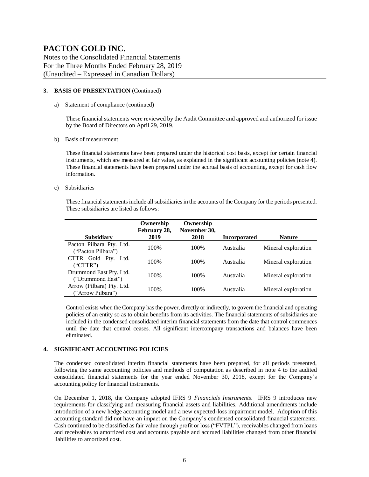Notes to the Consolidated Financial Statements For the Three Months Ended February 28, 2019 (Unaudited – Expressed in Canadian Dollars)

#### **3. BASIS OF PRESENTATION** (Continued)

a) Statement of compliance (continued)

These financial statements were reviewed by the Audit Committee and approved and authorized for issue by the Board of Directors on April 29, 2019.

b) Basis of measurement

These financial statements have been prepared under the historical cost basis, except for certain financial instruments, which are measured at fair value, as explained in the significant accounting policies (note 4). These financial statements have been prepared under the accrual basis of accounting, except for cash flow information.

c) Subsidiaries

These financial statements include all subsidiaries in the accounts of the Company for the periods presented. These subsidiaries are listed as follows:

|                                                | Ownership<br>February 28, | Ownership<br>November 30, |                     |                     |
|------------------------------------------------|---------------------------|---------------------------|---------------------|---------------------|
| <b>Subsidiary</b>                              | 2019                      | 2018                      | <b>Incorporated</b> | <b>Nature</b>       |
| Pacton Pilbara Pty. Ltd.<br>("Pacton Pilbara") | 100%                      | 100%                      | Australia           | Mineral exploration |
| CTTR Gold Pty. Ltd.<br>("CTTR")                | 100\%                     | 100\%                     | Australia           | Mineral exploration |
| Drummond East Pty. Ltd.<br>("Drummond East")   | 100%                      | 100%                      | Australia           | Mineral exploration |
| Arrow (Pilbara) Pty. Ltd.<br>("Arrow Pilbara") | 100%                      | 100%                      | Australia           | Mineral exploration |

Control exists when the Company has the power, directly or indirectly, to govern the financial and operating policies of an entity so as to obtain benefits from its activities. The financial statements of subsidiaries are included in the condensed consolidated interim financial statements from the date that control commences until the date that control ceases. All significant intercompany transactions and balances have been eliminated.

#### **4. SIGNIFICANT ACCOUNTING POLICIES**

The condensed consolidated interim financial statements have been prepared, for all periods presented, following the same accounting policies and methods of computation as described in note 4 to the audited consolidated financial statements for the year ended November 30, 2018, except for the Company's accounting policy for financial instruments.

On December 1, 2018, the Company adopted IFRS 9 *Financials Instruments*. IFRS 9 introduces new requirements for classifying and measuring financial assets and liabilities. Additional amendments include introduction of a new hedge accounting model and a new expected-loss impairment model. Adoption of this accounting standard did not have an impact on the Company's condensed consolidated financial statements. Cash continued to be classified as fair value through profit or loss ("FVTPL"), receivables changed from loans and receivables to amortized cost and accounts payable and accrued liabilities changed from other financial liabilities to amortized cost.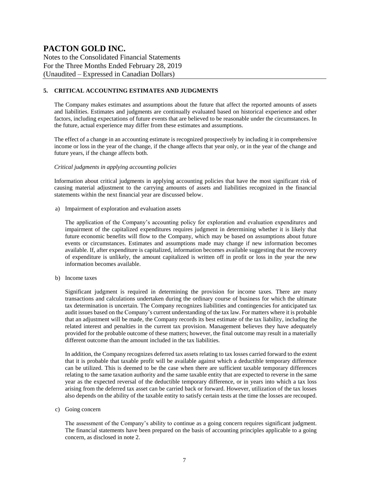Notes to the Consolidated Financial Statements For the Three Months Ended February 28, 2019 (Unaudited – Expressed in Canadian Dollars)

#### **5. CRITICAL ACCOUNTING ESTIMATES AND JUDGMENTS**

The Company makes estimates and assumptions about the future that affect the reported amounts of assets and liabilities. Estimates and judgments are continually evaluated based on historical experience and other factors, including expectations of future events that are believed to be reasonable under the circumstances. In the future, actual experience may differ from these estimates and assumptions.

The effect of a change in an accounting estimate is recognized prospectively by including it in comprehensive income or loss in the year of the change, if the change affects that year only, or in the year of the change and future years, if the change affects both.

#### *Critical judgments in applying accounting policies*

Information about critical judgments in applying accounting policies that have the most significant risk of causing material adjustment to the carrying amounts of assets and liabilities recognized in the financial statements within the next financial year are discussed below.

a) Impairment of exploration and evaluation assets

The application of the Company's accounting policy for exploration and evaluation expenditures and impairment of the capitalized expenditures requires judgment in determining whether it is likely that future economic benefits will flow to the Company, which may be based on assumptions about future events or circumstances. Estimates and assumptions made may change if new information becomes available. If, after expenditure is capitalized, information becomes available suggesting that the recovery of expenditure is unlikely, the amount capitalized is written off in profit or loss in the year the new information becomes available.

b) Income taxes

Significant judgment is required in determining the provision for income taxes. There are many transactions and calculations undertaken during the ordinary course of business for which the ultimate tax determination is uncertain. The Company recognizes liabilities and contingencies for anticipated tax audit issues based on the Company's current understanding of the tax law. For matters where it is probable that an adjustment will be made, the Company records its best estimate of the tax liability, including the related interest and penalties in the current tax provision. Management believes they have adequately provided for the probable outcome of these matters; however, the final outcome may result in a materially different outcome than the amount included in the tax liabilities.

In addition, the Company recognizes deferred tax assets relating to tax losses carried forward to the extent that it is probable that taxable profit will be available against which a deductible temporary difference can be utilized. This is deemed to be the case when there are sufficient taxable temporary differences relating to the same taxation authority and the same taxable entity that are expected to reverse in the same year as the expected reversal of the deductible temporary difference, or in years into which a tax loss arising from the deferred tax asset can be carried back or forward. However, utilization of the tax losses also depends on the ability of the taxable entity to satisfy certain tests at the time the losses are recouped.

c) Going concern

The assessment of the Company's ability to continue as a going concern requires significant judgment. The financial statements have been prepared on the basis of accounting principles applicable to a going concern, as disclosed in note 2.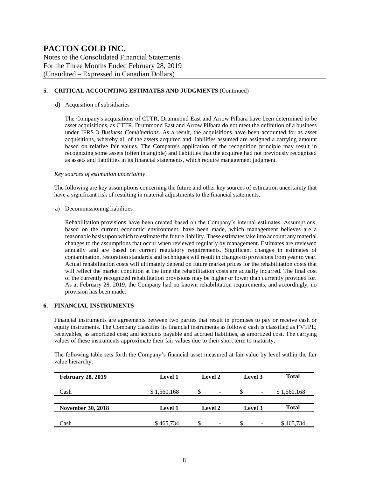Notes to the Consolidated Financial Statements For the Three Months Ended February 28, 2019 (Unaudited – Expressed in Canadian Dollars)

#### **5. CRITICAL ACCOUNTING ESTIMATES AND JUDGMENTS** (Continued)

#### d) Acquisition of subsidiaries

The Company's acquisitions of CTTR, Drummond East and Arrow Pilbara have been determined to be asset acquisitions, as CTTR, Drummond East and Arrow Pilbara do not meet the definition of a business under IFRS 3 *Business Combinations*. As a result, the acquisitions have been accounted for as asset acquisitions, whereby all of the assets acquired and liabilities assumed are assigned a carrying amount based on relative fair values. The Company's application of the recognition principle may result in recognizing some assets (often intangible) and liabilities that the acquiree had not previously recognized as assets and liabilities in its financial statements, which require management judgment.

#### *Key sources of estimation uncertainty*

The following are key assumptions concerning the future and other key sources of estimation uncertainty that have a significant risk of resulting in material adjustments to the financial statements.

a) Decommissioning liabilities

Rehabilitation provisions have been created based on the Company's internal estimates. Assumptions, based on the current economic environment, have been made, which management believes are a reasonable basis upon which to estimate the future liability. These estimates take into account any material changes to the assumptions that occur when reviewed regularly by management. Estimates are reviewed annually and are based on current regulatory requirements. Significant changes in estimates of contamination, restoration standards and techniques will result in changes to provisions from year to year. Actual rehabilitation costs will ultimately depend on future market prices for the rehabilitation costs that will reflect the market condition at the time the rehabilitation costs are actually incurred. The final cost of the currently recognized rehabilitation provisions may be higher or lower than currently provided for. As at February 28, 2019, the Company had no known rehabilitation requirements, and accordingly, no provision has been made.

#### **6. FINANCIAL INSTRUMENTS**

Financial instruments are agreements between two parties that result in promises to pay or receive cash or equity instruments. The Company classifies its financial instruments as follows: cash is classified as FVTPL; receivables, as amortized cost; and accounts payable and accrued liabilities, as amortized cost. The carrying values of these instruments approximate their fair values due to their short term to maturity.

The following table sets forth the Company's financial asset measured at fair value by level within the fair value hierarchy:

| <b>February 28, 2019</b> | <b>Level 1</b> | <b>Level 2</b><br>Level 3 |                                |              |  |
|--------------------------|----------------|---------------------------|--------------------------------|--------------|--|
| Cash                     | \$1,560,168    | S<br>-                    | S<br>$\overline{\phantom{a}}$  | \$1,560,168  |  |
|                          | <b>Level 1</b> | Level 2                   | Level 3                        | <b>Total</b> |  |
| <b>November 30, 2018</b> |                |                           |                                |              |  |
| Cash                     | \$465,734      | S<br>-                    | \$<br>$\overline{\phantom{a}}$ | \$465,734    |  |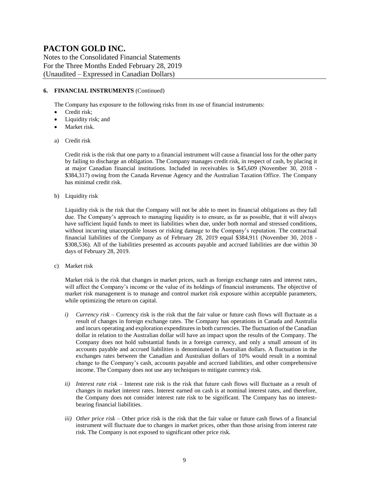Notes to the Consolidated Financial Statements For the Three Months Ended February 28, 2019 (Unaudited – Expressed in Canadian Dollars)

#### **6. FINANCIAL INSTRUMENTS** (Continued)

The Company has exposure to the following risks from its use of financial instruments:

- Credit risk;
- Liquidity risk; and
- Market risk.
- a) Credit risk

Credit risk is the risk that one party to a financial instrument will cause a financial loss for the other party by failing to discharge an obligation. The Company manages credit risk, in respect of cash, by placing it at major Canadian financial institutions. Included in receivables is \$45,609 (November 30, 2018 - \$384,317) owing from the Canada Revenue Agency and the Australian Taxation Office. The Company has minimal credit risk.

b) Liquidity risk

Liquidity risk is the risk that the Company will not be able to meet its financial obligations as they fall due. The Company's approach to managing liquidity is to ensure, as far as possible, that it will always have sufficient liquid funds to meet its liabilities when due, under both normal and stressed conditions, without incurring unacceptable losses or risking damage to the Company's reputation. The contractual financial liabilities of the Company as of February 28, 2019 equal \$384,911 (November 30, 2018 - \$308,536). All of the liabilities presented as accounts payable and accrued liabilities are due within 30 days of February 28, 2019.

c) Market risk

Market risk is the risk that changes in market prices, such as foreign exchange rates and interest rates, will affect the Company's income or the value of its holdings of financial instruments. The objective of market risk management is to manage and control market risk exposure within acceptable parameters, while optimizing the return on capital.

- *i) Currency risk* Currency risk is the risk that the fair value or future cash flows will fluctuate as a result of changes in foreign exchange rates. The Company has operations in Canada and Australia and incurs operating and exploration expenditures in both currencies. The fluctuation of the Canadian dollar in relation to the Australian dollar will have an impact upon the results of the Company. The Company does not hold substantial funds in a foreign currency, and only a small amount of its accounts payable and accrued liabilities is denominated in Australian dollars. A fluctuation in the exchanges rates between the Canadian and Australian dollars of 10% would result in a nominal change to the Company's cash, accounts payable and accrued liabilities, and other comprehensive income. The Company does not use any techniques to mitigate currency risk.
- *ii) Interest rate risk –* Interest rate risk is the risk that future cash flows will fluctuate as a result of changes in market interest rates. Interest earned on cash is at nominal interest rates, and therefore, the Company does not consider interest rate risk to be significant. The Company has no interestbearing financial liabilities.
- *iii) Other price risk –* Other price risk is the risk that the fair value or future cash flows of a financial instrument will fluctuate due to changes in market prices, other than those arising from interest rate risk. The Company is not exposed to significant other price risk.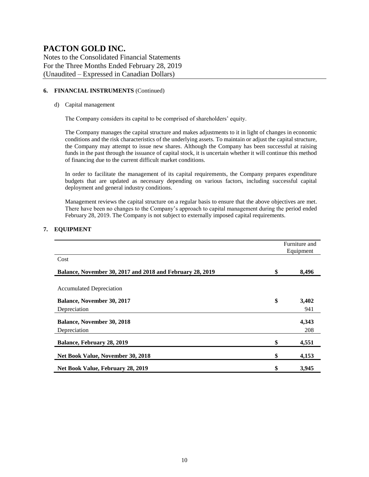Notes to the Consolidated Financial Statements For the Three Months Ended February 28, 2019 (Unaudited – Expressed in Canadian Dollars)

#### **6. FINANCIAL INSTRUMENTS** (Continued)

#### d) Capital management

The Company considers its capital to be comprised of shareholders' equity.

The Company manages the capital structure and makes adjustments to it in light of changes in economic conditions and the risk characteristics of the underlying assets. To maintain or adjust the capital structure, the Company may attempt to issue new shares. Although the Company has been successful at raising funds in the past through the issuance of capital stock, it is uncertain whether it will continue this method of financing due to the current difficult market conditions.

In order to facilitate the management of its capital requirements, the Company prepares expenditure budgets that are updated as necessary depending on various factors, including successful capital deployment and general industry conditions.

Management reviews the capital structure on a regular basis to ensure that the above objectives are met. There have been no changes to the Company's approach to capital management during the period ended February 28, 2019. The Company is not subject to externally imposed capital requirements.

#### **7. EQUIPMENT**

|                                                           | Furniture and<br>Equipment |       |  |  |  |
|-----------------------------------------------------------|----------------------------|-------|--|--|--|
| Cost                                                      |                            |       |  |  |  |
| Balance, November 30, 2017 and 2018 and February 28, 2019 | \$                         | 8,496 |  |  |  |
| <b>Accumulated Depreciation</b>                           |                            |       |  |  |  |
| <b>Balance, November 30, 2017</b>                         | \$                         | 3,402 |  |  |  |
| Depreciation                                              |                            | 941   |  |  |  |
| <b>Balance, November 30, 2018</b>                         |                            | 4,343 |  |  |  |
| Depreciation                                              |                            | 208   |  |  |  |
| Balance, February 28, 2019                                | \$                         | 4,551 |  |  |  |
| Net Book Value, November 30, 2018                         | \$                         | 4,153 |  |  |  |
| Net Book Value, February 28, 2019                         | \$                         | 3,945 |  |  |  |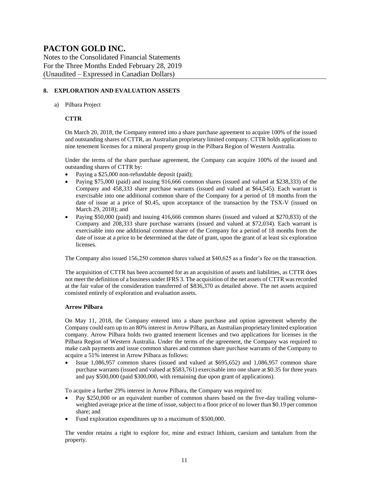Notes to the Consolidated Financial Statements For the Three Months Ended February 28, 2019 (Unaudited – Expressed in Canadian Dollars)

#### **8. EXPLORATION AND EVALUATION ASSETS**

a) Pilbara Project

#### **CTTR**

On March 20, 2018, the Company entered into a share purchase agreement to acquire 100% of the issued and outstanding shares of CTTR, an Australian proprietary limited company. CTTR holds applications to nine tenement licenses for a mineral property group in the Pilbara Region of Western Australia.

Under the terms of the share purchase agreement, the Company can acquire 100% of the issued and outstanding shares of CTTR by:

- Paying a \$25,000 non-refundable deposit (paid);
- Paying \$75,000 (paid) and issuing 916,666 common shares (issued and valued at \$238,333) of the Company and 458,333 share purchase warrants (issued and valued at \$64,545). Each warrant is exercisable into one additional common share of the Company for a period of 18 months from the date of issue at a price of \$0.45, upon acceptance of the transaction by the TSX-V (issued on March 29, 2018); and
- Paying \$50,000 (paid) and issuing 416,666 common shares (issued and valued at \$270,833) of the Company and 208,333 share purchase warrants (issued and valued at \$72,034). Each warrant is exercisable into one additional common share of the Company for a period of 18 months from the date of issue at a price to be determined at the date of grant, upon the grant of at least six exploration licenses.

The Company also issued 156,250 common shares valued at \$40,625 as a finder's fee on the transaction.

The acquisition of CTTR has been accounted for as an acquisition of assets and liabilities, as CTTR does not meet the definition of a business under IFRS 3. The acquisition of the net assets of CTTR was recorded at the fair value of the consideration transferred of \$836,370 as detailed above. The net assets acquired consisted entirely of exploration and evaluation assets.

#### **Arrow Pilbara**

On May 11, 2018, the Company entered into a share purchase and option agreement whereby the Company could earn up to an 80% interest in Arrow Pilbara, an Australian proprietary limited exploration company. Arrow Pilbara holds two granted tenement licenses and two applications for licenses in the Pilbara Region of Western Australia. Under the terms of the agreement, the Company was required to make cash payments and issue common shares and common share purchase warrants of the Company to acquire a 51% interest in Arrow Pilbara as follows:

• Issue 1,086,957 common shares (issued and valued at \$695,652) and 1,086,957 common share purchase warrants (issued and valued at \$583,761) exercisable into one share at \$0.35 for three years and pay \$500,000 (paid \$300,000, with remaining due upon grant of applications).

To acquire a further 29% interest in Arrow Pilbara, the Company was required to:

- Pay \$250,000 or an equivalent number of common shares based on the five-day trailing volumeweighted average price at the time of issue, subject to a floor price of no lower than \$0.19 per common share; and
- Fund exploration expenditures up to a maximum of \$500,000.

The vendor retains a right to explore for, mine and extract lithium, caesium and tantalum from the property.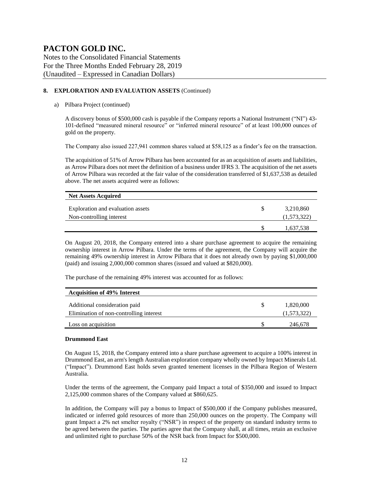Notes to the Consolidated Financial Statements For the Three Months Ended February 28, 2019 (Unaudited – Expressed in Canadian Dollars)

#### **8. EXPLORATION AND EVALUATION ASSETS** (Continued)

#### a) Pilbara Project (continued)

A discovery bonus of \$500,000 cash is payable if the Company reports a National Instrument ("NI") 43- 101-defined "measured mineral resource" or "inferred mineral resource" of at least 100,000 ounces of gold on the property.

The Company also issued 227,941 common shares valued at \$58,125 as a finder's fee on the transaction.

The acquisition of 51% of Arrow Pilbara has been accounted for as an acquisition of assets and liabilities, as Arrow Pilbara does not meet the definition of a business under IFRS 3. The acquisition of the net assets of Arrow Pilbara was recorded at the fair value of the consideration transferred of \$1,637,538 as detailed above. The net assets acquired were as follows:

| <b>Net Assets Acquired</b>        |             |
|-----------------------------------|-------------|
|                                   |             |
| Exploration and evaluation assets | 3,210,860   |
| Non-controlling interest          | (1,573,322) |
|                                   |             |
|                                   | 1,637,538   |

On August 20, 2018, the Company entered into a share purchase agreement to acquire the remaining ownership interest in Arrow Pilbara. Under the terms of the agreement, the Company will acquire the remaining 49% ownership interest in Arrow Pilbara that it does not already own by paying \$1,000,000 (paid) and issuing 2,000,000 common shares (issued and valued at \$820,000).

The purchase of the remaining 49% interest was accounted for as follows:

| <b>Acquisition of 49% Interest</b>                                       |                          |
|--------------------------------------------------------------------------|--------------------------|
| Additional consideration paid<br>Elimination of non-controlling interest | 1,820,000<br>(1,573,322) |
| Loss on acquisition                                                      | 246,678                  |

#### **Drummond East**

On August 15, 2018, the Company entered into a share purchase agreement to acquire a 100% interest in Drummond East, an arm's length Australian exploration company wholly owned by Impact Minerals Ltd. ("Impact"). Drummond East holds seven granted tenement licenses in the Pilbara Region of Western Australia.

Under the terms of the agreement, the Company paid Impact a total of \$350,000 and issued to Impact 2,125,000 common shares of the Company valued at \$860,625.

In addition, the Company will pay a bonus to Impact of \$500,000 if the Company publishes measured, indicated or inferred gold resources of more than 250,000 ounces on the property. The Company will grant Impact a 2% net smelter royalty ("NSR") in respect of the property on standard industry terms to be agreed between the parties. The parties agree that the Company shall, at all times, retain an exclusive and unlimited right to purchase 50% of the NSR back from Impact for \$500,000.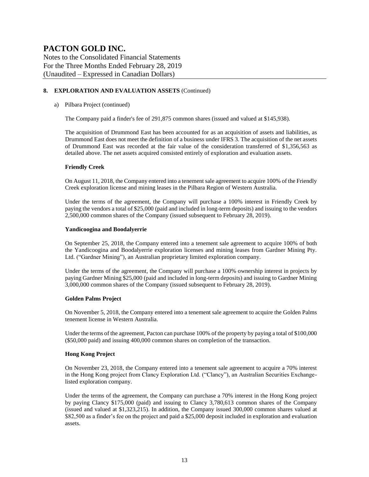Notes to the Consolidated Financial Statements For the Three Months Ended February 28, 2019 (Unaudited – Expressed in Canadian Dollars)

#### **8. EXPLORATION AND EVALUATION ASSETS** (Continued)

#### a) Pilbara Project (continued)

The Company paid a finder's fee of 291,875 common shares (issued and valued at \$145,938).

The acquisition of Drummond East has been accounted for as an acquisition of assets and liabilities, as Drummond East does not meet the definition of a business under IFRS 3. The acquisition of the net assets of Drummond East was recorded at the fair value of the consideration transferred of \$1,356,563 as detailed above. The net assets acquired consisted entirely of exploration and evaluation assets.

#### **Friendly Creek**

On August 11, 2018, the Company entered into a tenement sale agreement to acquire 100% of the Friendly Creek exploration license and mining leases in the Pilbara Region of Western Australia.

Under the terms of the agreement, the Company will purchase a 100% interest in Friendly Creek by paying the vendors a total of \$25,000 (paid and included in long-term deposits) and issuing to the vendors 2,500,000 common shares of the Company (issued subsequent to February 28, 2019).

#### **Yandicoogina and Boodalyerrie**

On September 25, 2018, the Company entered into a tenement sale agreement to acquire 100% of both the Yandicoogina and Boodalyerrie exploration licenses and mining leases from Gardner Mining Pty. Ltd. ("Gardner Mining"), an Australian proprietary limited exploration company.

Under the terms of the agreement, the Company will purchase a 100% ownership interest in projects by paying Gardner Mining \$25,000 (paid and included in long-term deposits) and issuing to Gardner Mining 3,000,000 common shares of the Company (issued subsequent to February 28, 2019).

#### **Golden Palms Project**

On November 5, 2018, the Company entered into a tenement sale agreement to acquire the Golden Palms tenement license in Western Australia.

Under the terms of the agreement, Pacton can purchase 100% of the property by paying a total of \$100,000 (\$50,000 paid) and issuing 400,000 common shares on completion of the transaction.

#### **Hong Kong Project**

On November 23, 2018, the Company entered into a tenement sale agreement to acquire a 70% interest in the Hong Kong project from Clancy Exploration Ltd. ("Clancy"), an Australian Securities Exchangelisted exploration company.

Under the terms of the agreement, the Company can purchase a 70% interest in the Hong Kong project by paying Clancy \$175,000 (paid) and issuing to Clancy 3,780,613 common shares of the Company (issued and valued at \$1,323,215). In addition, the Company issued 300,000 common shares valued at \$82,500 as a finder's fee on the project and paid a \$25,000 deposit included in exploration and evaluation assets.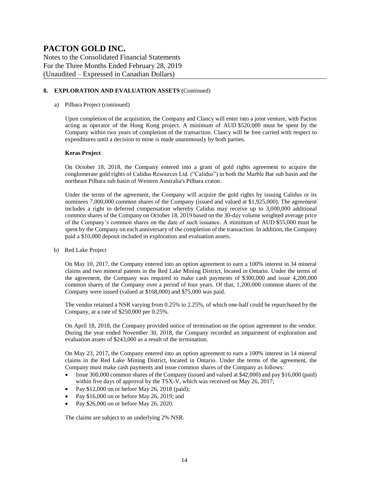Notes to the Consolidated Financial Statements For the Three Months Ended February 28, 2019 (Unaudited – Expressed in Canadian Dollars)

#### **8. EXPLORATION AND EVALUATION ASSETS** (Continued)

#### a) Pilbara Project (continued)

Upon completion of the acquisition, the Company and Clancy will enter into a joint venture, with Pacton acting as operator of the Hong Kong project. A minimum of AUD \$520,000 must be spent by the Company within two years of completion of the transaction. Clancy will be free carried with respect to expenditures until a decision to mine is made unanimously by both parties.

#### **Keras Project**

On October 18, 2018, the Company entered into a grant of gold rights agreement to acquire the conglomerate gold rights of Calidus Resources Ltd. ("Calidus") in both the Marble Bar sub basin and the northeast Pilbara sub basin of Western Australia's Pilbara craton.

Under the terms of the agreement, the Company will acquire the gold rights by issuing Calidus or its nominees 7,000,000 common shares of the Company (issued and valued at \$1,925,000). The agreement includes a right to deferred compensation whereby Calidus may receive up to 3,000,000 additional common shares of the Company on October 18, 2019 based on the 30-day volume weighted average price of the Company's common shares on the date of such issuance. A minimum of AUD \$55,000 must be spent by the Company on each anniversary of the completion of the transaction. In addition, the Company paid a \$10,000 deposit included in exploration and evaluation assets.

b) Red Lake Project

On May 10, 2017, the Company entered into an option agreement to earn a 100% interest in 34 mineral claims and two mineral patents in the Red Lake Mining District, located in Ontario. Under the terms of the agreement, the Company was required to make cash payments of \$300,000 and issue 4,200,000 common shares of the Company over a period of four years. Of that, 1,200,000 common shares of the Company were issued (valued at \$168,000) and \$75,000 was paid.

The vendor retained a NSR varying from 0.25% to 2.25%, of which one-half could be repurchased by the Company, at a rate of \$250,000 per 0.25%.

On April 18, 2018, the Company provided notice of termination on the option agreement to the vendor. During the year ended November 30, 2018, the Company recorded an impairment of exploration and evaluation assets of \$243,000 as a result of the termination.

On May 23, 2017, the Company entered into an option agreement to earn a 100% interest in 14 mineral claims in the Red Lake Mining District, located in Ontario. Under the terms of the agreement, the Company must make cash payments and issue common shares of the Company as follows:

- Issue 300,000 common shares of the Company (issued and valued at \$42,000) and pay \$16,000 (paid) within five days of approval by the TSX-V, which was received on May 26, 2017;
- Pay  $$12,000$  on or before May 26, 2018 (paid);
- Pay \$16,000 on or before May 26, 2019; and
- Pay \$26,000 on or before May 26, 2020.

The claims are subject to an underlying 2% NSR.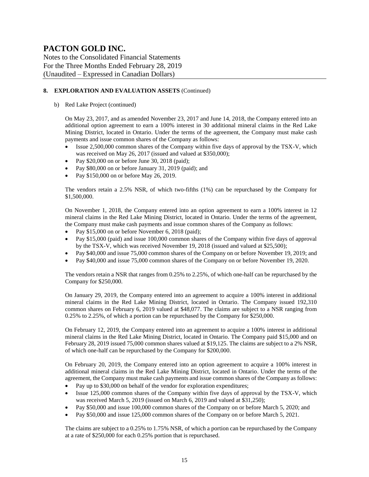Notes to the Consolidated Financial Statements For the Three Months Ended February 28, 2019 (Unaudited – Expressed in Canadian Dollars)

#### **8. EXPLORATION AND EVALUATION ASSETS** (Continued)

b) Red Lake Project (continued)

On May 23, 2017, and as amended November 23, 2017 and June 14, 2018, the Company entered into an additional option agreement to earn a 100% interest in 30 additional mineral claims in the Red Lake Mining District, located in Ontario. Under the terms of the agreement, the Company must make cash payments and issue common shares of the Company as follows:

- Issue 2,500,000 common shares of the Company within five days of approval by the TSX-V, which was received on May 26, 2017 (issued and valued at \$350,000);
- Pay \$20,000 on or before June 30, 2018 (paid);
- Pay \$80,000 on or before January 31, 2019 (paid); and
- Pay \$150,000 on or before May 26, 2019.

The vendors retain a 2.5% NSR, of which two-fifths (1%) can be repurchased by the Company for \$1,500,000.

On November 1, 2018, the Company entered into an option agreement to earn a 100% interest in 12 mineral claims in the Red Lake Mining District, located in Ontario. Under the terms of the agreement, the Company must make cash payments and issue common shares of the Company as follows:

- Pay \$15,000 on or before November 6, 2018 (paid);
- Pay \$15,000 (paid) and issue 100,000 common shares of the Company within five days of approval by the TSX-V, which was received November 19, 2018 (issued and valued at \$25,500);
- Pay \$40,000 and issue 75,000 common shares of the Company on or before November 19, 2019; and
- Pay \$40,000 and issue 75,000 common shares of the Company on or before November 19, 2020.

The vendors retain a NSR that ranges from 0.25% to 2.25%, of which one-half can be repurchased by the Company for \$250,000.

On January 29, 2019, the Company entered into an agreement to acquire a 100% interest in additional mineral claims in the Red Lake Mining District, located in Ontario. The Company issued 192,310 common shares on February 6, 2019 valued at \$48,077. The claims are subject to a NSR ranging from 0.25% to 2.25%, of which a portion can be repurchased by the Company for \$250,000.

On February 12, 2019, the Company entered into an agreement to acquire a 100% interest in additional mineral claims in the Red Lake Mining District, located in Ontario. The Company paid \$15,000 and on February 28, 2019 issued 75,000 common shares valued at \$19,125. The claims are subject to a 2% NSR, of which one-half can be repurchased by the Company for \$200,000.

On February 20, 2019, the Company entered into an option agreement to acquire a 100% interest in additional mineral claims in the Red Lake Mining District, located in Ontario. Under the terms of the agreement, the Company must make cash payments and issue common shares of the Company as follows:

- Pay up to \$30,000 on behalf of the vendor for exploration expenditures;
- Issue 125,000 common shares of the Company within five days of approval by the TSX-V, which was received March 5, 2019 (issued on March 6, 2019 and valued at \$31,250);
- Pay \$50,000 and issue 100,000 common shares of the Company on or before March 5, 2020; and
- Pay \$50,000 and issue 125,000 common shares of the Company on or before March 5, 2021.

The claims are subject to a 0.25% to 1.75% NSR, of which a portion can be repurchased by the Company at a rate of \$250,000 for each 0.25% portion that is repurchased.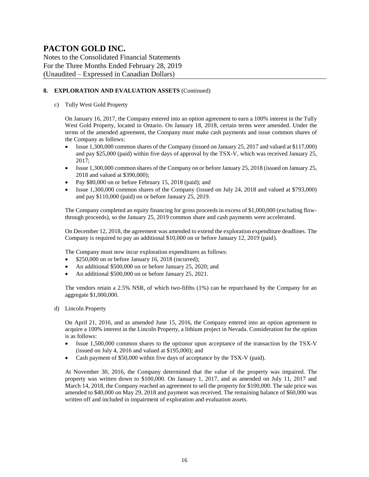Notes to the Consolidated Financial Statements For the Three Months Ended February 28, 2019 (Unaudited – Expressed in Canadian Dollars)

#### **8. EXPLORATION AND EVALUATION ASSETS** (Continued)

c) Tully West Gold Property

On January 16, 2017, the Company entered into an option agreement to earn a 100% interest in the Tully West Gold Property, located in Ontario. On January 18, 2018, certain terms were amended. Under the terms of the amended agreement, the Company must make cash payments and issue common shares of the Company as follows:

- Issue 1,300,000 common shares of the Company (issued on January 25, 2017 and valued at \$117,000) and pay \$25,000 (paid) within five days of approval by the TSX-V, which was received January 25, 2017;
- Issue 1,300,000 common shares of the Company on or before January 25, 2018 (issued on January 25, 2018 and valued at \$390,000);
- Pay \$80,000 on or before February 15, 2018 (paid); and
- Issue 1,300,000 common shares of the Company (issued on July 24, 2018 and valued at \$793,000) and pay \$110,000 (paid) on or before January 25, 2019.

The Company completed an equity financing for gross proceeds in excess of \$1,000,000 (excluding flowthrough proceeds), so the January 25, 2019 common share and cash payments were accelerated.

On December 12, 2018, the agreement was amended to extend the exploration expenditure deadlines. The Company is required to pay an additional \$10,000 on or before January 12, 2019 (paid).

The Company must now incur exploration expenditures as follows:

- \$250,000 on or before January 16, 2018 (incurred);
- An additional \$500,000 on or before January 25, 2020; and
- An additional \$500,000 on or before January 25, 2021.

The vendors retain a 2.5% NSR, of which two-fifths (1%) can be repurchased by the Company for an aggregate \$1,000,000.

d) Lincoln Property

On April 21, 2016, and as amended June 15, 2016, the Company entered into an option agreement to acquire a 100% interest in the Lincoln Property, a lithium project in Nevada. Consideration for the option is as follows:

- Issue 1,500,000 common shares to the optionor upon acceptance of the transaction by the TSX-V (issued on July 4, 2016 and valued at \$195,000); and
- Cash payment of \$50,000 within five days of acceptance by the TSX-V (paid).

At November 30, 2016, the Company determined that the value of the property was impaired. The property was written down to \$100,000. On January 1, 2017, and as amended on July 11, 2017 and March 14, 2018, the Company reached an agreement to sell the property for \$100,000. The sale price was amended to \$40,000 on May 29, 2018 and payment was received. The remaining balance of \$60,000 was written off and included in impairment of exploration and evaluation assets.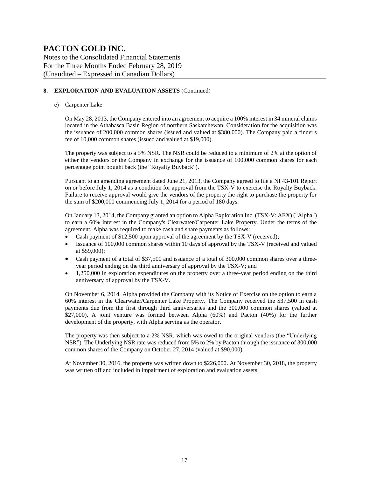Notes to the Consolidated Financial Statements For the Three Months Ended February 28, 2019 (Unaudited – Expressed in Canadian Dollars)

#### **8. EXPLORATION AND EVALUATION ASSETS** (Continued)

#### e) Carpenter Lake

On May 28, 2013, the Company entered into an agreement to acquire a 100% interest in 34 mineral claims located in the Athabasca Basin Region of northern Saskatchewan. Consideration for the acquisition was the issuance of 200,000 common shares (issued and valued at \$380,000). The Company paid a finder's fee of 10,000 common shares (issued and valued at \$19,000).

The property was subject to a 5% NSR. The NSR could be reduced to a minimum of 2% at the option of either the vendors or the Company in exchange for the issuance of 100,000 common shares for each percentage point bought back (the "Royalty Buyback").

Pursuant to an amending agreement dated June 21, 2013, the Company agreed to file a NI 43-101 Report on or before July 1, 2014 as a condition for approval from the TSX-V to exercise the Royalty Buyback. Failure to receive approval would give the vendors of the property the right to purchase the property for the sum of \$200,000 commencing July 1, 2014 for a period of 180 days.

On January 13, 2014, the Company granted an option to Alpha Exploration Inc. (TSX-V: AEX) ("Alpha") to earn a 60% interest in the Company's Clearwater/Carpenter Lake Property. Under the terms of the agreement, Alpha was required to make cash and share payments as follows:

- Cash payment of \$12,500 upon approval of the agreement by the TSX-V (received);
- Issuance of 100,000 common shares within 10 days of approval by the TSX-V (received and valued at \$59,000);
- Cash payment of a total of \$37,500 and issuance of a total of 300,000 common shares over a threeyear period ending on the third anniversary of approval by the TSX-V; and
- 1,250,000 in exploration expenditures on the property over a three-year period ending on the third anniversary of approval by the TSX-V.

On November 6, 2014, Alpha provided the Company with its Notice of Exercise on the option to earn a 60% interest in the Clearwater/Carpenter Lake Property. The Company received the \$37,500 in cash payments due from the first through third anniversaries and the 300,000 common shares (valued at \$27,000). A joint venture was formed between Alpha (60%) and Pacton (40%) for the further development of the property, with Alpha serving as the operator.

The property was then subject to a 2% NSR, which was owed to the original vendors (the "Underlying NSR"). The Underlying NSR rate was reduced from 5% to 2% by Pacton through the issuance of 300,000 common shares of the Company on October 27, 2014 (valued at \$90,000).

At November 30, 2016, the property was written down to \$226,000. At November 30, 2018, the property was written off and included in impairment of exploration and evaluation assets.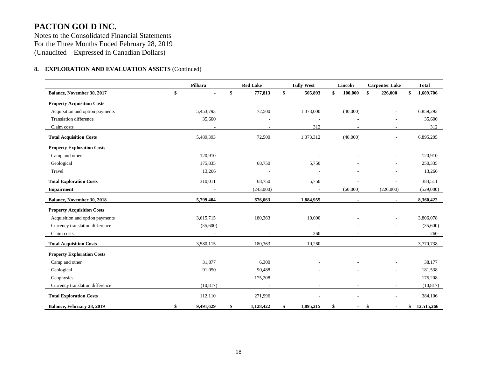Notes to the Consolidated Financial Statements For the Three Months Ended February 28, 2019 (Unaudited – Expressed in Canadian Dollars)

#### **8. EXPLORATION AND EVALUATION ASSETS** (Continued)

|                                   | Pilbara         | <b>Red Lake</b>          | <b>Tully West</b> | Lincoln       | <b>Carpenter Lake</b>    | <b>Total</b>     |
|-----------------------------------|-----------------|--------------------------|-------------------|---------------|--------------------------|------------------|
| Balance, November 30, 2017        | \$              | \$<br>777,813            | \$<br>505,893     | \$<br>100,000 | \$<br>226,000            | \$<br>1,609,706  |
| <b>Property Acquisition Costs</b> |                 |                          |                   |               |                          |                  |
| Acquisition and option payments   | 5,453,793       | 72,500                   | 1,373,000         | (40,000)      |                          | 6,859,293        |
| <b>Translation difference</b>     | 35,600          |                          |                   |               |                          | 35,600           |
| Claim costs                       |                 |                          | 312               |               |                          | 312              |
| <b>Total Acquisition Costs</b>    | 5,489,393       | 72,500                   | 1,373,312         | (40,000)      | $\overline{\phantom{a}}$ | 6,895,205        |
| <b>Property Exploration Costs</b> |                 |                          |                   |               |                          |                  |
| Camp and other                    | 120,910         |                          |                   |               |                          | 120,910          |
| Geological                        | 175,835         | 68,750                   | 5,750             |               |                          | 250,335          |
| Travel                            | 13,266          | $\overline{\phantom{a}}$ |                   |               | $\overline{\phantom{a}}$ | 13,266           |
| <b>Total Exploration Costs</b>    | 310,011         | 68,750                   | 5,750             |               |                          | 384,511          |
| Impairment                        |                 | (243,000)                |                   | (60,000)      | (226,000)                | (529,000)        |
| Balance, November 30, 2018        | 5,799,404       | 676,063                  | 1,884,955         |               | $\blacksquare$           | 8,360,422        |
| <b>Property Acquisition Costs</b> |                 |                          |                   |               |                          |                  |
| Acquisition and option payments   | 3,615,715       | 180,363                  | 10,000            |               |                          | 3,806,078        |
| Currency translation difference   | (35,600)        |                          |                   |               |                          | (35,600)         |
| Claim costs                       |                 |                          | 260               |               |                          | 260              |
| <b>Total Acquisition Costs</b>    | 3,580,115       | 180,363                  | 10,260            |               | $\blacksquare$           | 3,770,738        |
| <b>Property Exploration Costs</b> |                 |                          |                   |               |                          |                  |
| Camp and other                    | 31,877          | 6,300                    |                   |               |                          | 38,177           |
| Geological                        | 91,050          | 90,488                   |                   |               |                          | 181,538          |
| Geophysics                        |                 | 175,208                  |                   |               |                          | 175,208          |
| Currency translation difference   | (10, 817)       |                          |                   |               |                          | (10, 817)        |
| <b>Total Exploration Costs</b>    | 112,110         | 271,996                  |                   |               | $\overline{\phantom{a}}$ | 384,106          |
| Balance, February 28, 2019        | \$<br>9,491,629 | \$<br>1,128,422          | \$<br>1,895,215   | \$            | \$                       | \$<br>12,515,266 |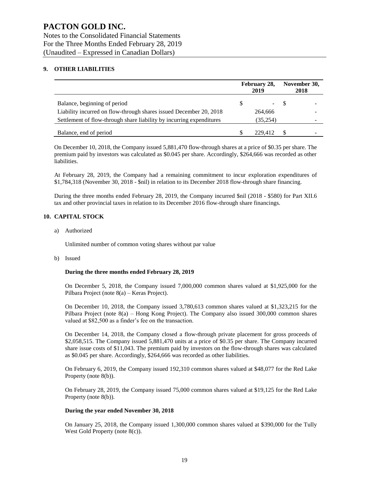#### **9. OTHER LIABILITIES**

|                                                                      |         | February 28,<br>2019 |       | November 30,<br>2018 |
|----------------------------------------------------------------------|---------|----------------------|-------|----------------------|
| Balance, beginning of period                                         | S       |                      | $-$ S |                      |
| Liability incurred on flow-through shares issued December 20, 2018   | 264,666 |                      |       |                      |
| Settlement of flow-through share liability by incurring expenditures |         | (35,254)             |       |                      |
| Balance, end of period                                               |         | 229.412              |       |                      |

On December 10, 2018, the Company issued 5,881,470 flow-through shares at a price of \$0.35 per share. The premium paid by investors was calculated as \$0.045 per share. Accordingly, \$264,666 was recorded as other liabilities.

At February 28, 2019, the Company had a remaining commitment to incur exploration expenditures of \$1,784,318 (November 30, 2018 - \$nil) in relation to its December 2018 flow-through share financing.

During the three months ended February 28, 2019, the Company incurred \$nil (2018 - \$580) for Part XII.6 tax and other provincial taxes in relation to its December 2016 flow-through share financings.

#### **10. CAPITAL STOCK**

a) Authorized

Unlimited number of common voting shares without par value

b) Issued

#### **During the three months ended February 28, 2019**

On December 5, 2018, the Company issued 7,000,000 common shares valued at \$1,925,000 for the Pilbara Project (note 8(a) – Keras Project).

On December 10, 2018, the Company issued 3,780,613 common shares valued at \$1,323,215 for the Pilbara Project (note 8(a) – Hong Kong Project). The Company also issued 300,000 common shares valued at \$82,500 as a finder's fee on the transaction.

On December 14, 2018, the Company closed a flow-through private placement for gross proceeds of \$2,058,515. The Company issued 5,881,470 units at a price of \$0.35 per share. The Company incurred share issue costs of \$11,043. The premium paid by investors on the flow-through shares was calculated as \$0.045 per share. Accordingly, \$264,666 was recorded as other liabilities.

On February 6, 2019, the Company issued 192,310 common shares valued at \$48,077 for the Red Lake Property (note 8(b)).

On February 28, 2019, the Company issued 75,000 common shares valued at \$19,125 for the Red Lake Property (note 8(b)).

#### **During the year ended November 30, 2018**

On January 25, 2018, the Company issued 1,300,000 common shares valued at \$390,000 for the Tully West Gold Property (note 8(c)).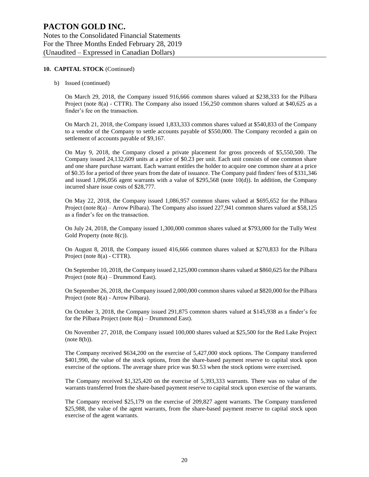#### **10. CAPITAL STOCK** (Continued)

b) Issued (continued)

On March 29, 2018, the Company issued 916,666 common shares valued at \$238,333 for the Pilbara Project (note 8(a) - CTTR). The Company also issued 156,250 common shares valued at \$40,625 as a finder's fee on the transaction.

On March 21, 2018, the Company issued 1,833,333 common shares valued at \$540,833 of the Company to a vendor of the Company to settle accounts payable of \$550,000. The Company recorded a gain on settlement of accounts payable of \$9,167.

On May 9, 2018, the Company closed a private placement for gross proceeds of \$5,550,500. The Company issued 24,132,609 units at a price of \$0.23 per unit. Each unit consists of one common share and one share purchase warrant. Each warrant entitles the holder to acquire one common share at a price of \$0.35 for a period of three years from the date of issuance. The Company paid finders' fees of \$331,346 and issued 1,096,056 agent warrants with a value of \$295,568 (note 10(d)). In addition, the Company incurred share issue costs of \$28,777.

On May 22, 2018, the Company issued 1,086,957 common shares valued at \$695,652 for the Pilbara Project (note 8(a) – Arrow Pilbara). The Company also issued 227,941 common shares valued at \$58,125 as a finder's fee on the transaction.

On July 24, 2018, the Company issued 1,300,000 common shares valued at \$793,000 for the Tully West Gold Property (note 8(c)).

On August 8, 2018, the Company issued 416,666 common shares valued at \$270,833 for the Pilbara Project (note 8(a) - CTTR).

On September 10, 2018, the Company issued 2,125,000 common shares valued at \$860,625 for the Pilbara Project (note  $8(a)$  – Drummond East).

On September 26, 2018, the Company issued 2,000,000 common shares valued at \$820,000 for the Pilbara Project (note 8(a) - Arrow Pilbara).

On October 3, 2018, the Company issued 291,875 common shares valued at \$145,938 as a finder's fee for the Pilbara Project (note  $8(a)$  – Drummond East).

On November 27, 2018, the Company issued 100,000 shares valued at \$25,500 for the Red Lake Project (note 8(b)).

The Company received \$634,200 on the exercise of 5,427,000 stock options. The Company transferred \$401,990, the value of the stock options, from the share-based payment reserve to capital stock upon exercise of the options. The average share price was \$0.53 when the stock options were exercised.

The Company received \$1,325,420 on the exercise of 5,393,333 warrants. There was no value of the warrants transferred from the share-based payment reserve to capital stock upon exercise of the warrants.

The Company received \$25,179 on the exercise of 209,827 agent warrants. The Company transferred \$25,988, the value of the agent warrants, from the share-based payment reserve to capital stock upon exercise of the agent warrants.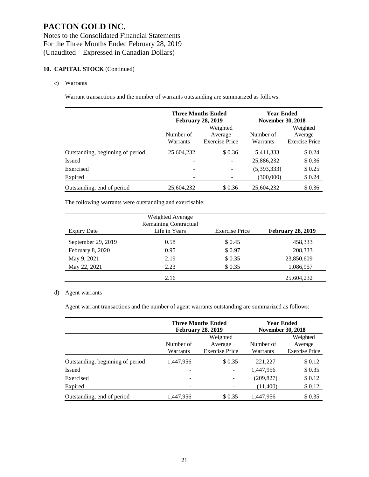#### **10. CAPITAL STOCK** (Continued)

#### c) Warrants

Warrant transactions and the number of warrants outstanding are summarized as follows:

|                                  |                       | <b>Three Months Ended</b><br><b>February 28, 2019</b> | <b>Year Ended</b><br><b>November 30, 2018</b> |                  |  |
|----------------------------------|-----------------------|-------------------------------------------------------|-----------------------------------------------|------------------|--|
|                                  | Number of<br>Warrants | Weighted<br>Average<br><b>Exercise Price</b>          |                                               |                  |  |
| Outstanding, beginning of period | 25,604,232            | \$0.36                                                | 5,411,333                                     | \$0.24           |  |
| <b>Issued</b><br>Exercised       | -                     | -<br>$\overline{\phantom{0}}$                         | 25,886,232<br>(5,393,333)                     | \$0.36<br>\$0.25 |  |
| Expired                          |                       |                                                       | (300,000)                                     | \$0.24           |  |
| Outstanding, end of period       | 25,604,232            | \$0.36                                                | 25,604,232                                    | \$0.36           |  |

The following warrants were outstanding and exercisable:

|                    | Weighted Average<br><b>Remaining Contractual</b> |                       |                          |
|--------------------|--------------------------------------------------|-----------------------|--------------------------|
| <b>Expiry Date</b> | Life in Years                                    | <b>Exercise Price</b> | <b>February 28, 2019</b> |
| September 29, 2019 | 0.58                                             | \$ 0.45               | 458,333                  |
| February 8, 2020   | 0.95                                             | \$0.97                | 208,333                  |
| May 9, 2021        | 2.19                                             | \$0.35                | 23,850,609               |
| May 22, 2021       | 2.23                                             | \$0.35                | 1,086,957                |
|                    | 2.16                                             |                       | 25,604,232               |

#### d) Agent warrants

Agent warrant transactions and the number of agent warrants outstanding are summarized as follows:

|                                  |                          | <b>Three Months Ended</b><br><b>February 28, 2019</b> |                       | <b>Year Ended</b><br><b>November 30, 2018</b> |
|----------------------------------|--------------------------|-------------------------------------------------------|-----------------------|-----------------------------------------------|
|                                  | Number of<br>Warrants    | Weighted<br>Average<br><b>Exercise Price</b>          | Number of<br>Warrants | Weighted<br>Average<br><b>Exercise Price</b>  |
| Outstanding, beginning of period | 1.447.956                | \$0.35                                                | 221,227               | \$0.12                                        |
| <b>Issued</b>                    | $\overline{\phantom{a}}$ | -                                                     | 1,447,956             | \$0.35                                        |
| Exercised                        | -                        |                                                       | (209, 827)            | \$0.12                                        |
| Expired                          | -                        |                                                       | (11,400)              | \$0.12                                        |
| Outstanding, end of period       | 1,447,956                | \$ 0.35                                               | 1,447,956             | \$0.35                                        |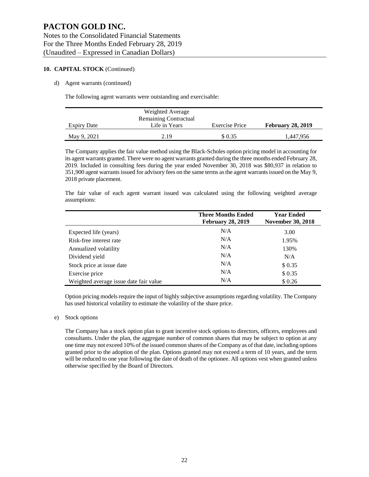#### **10. CAPITAL STOCK** (Continued)

#### d) Agent warrants (continued)

The following agent warrants were outstanding and exercisable:

|                    | Weighted Average             |                |                          |
|--------------------|------------------------------|----------------|--------------------------|
|                    | <b>Remaining Contractual</b> |                |                          |
| <b>Expiry Date</b> | Life in Years                | Exercise Price | <b>February 28, 2019</b> |
| May 9, 2021        | 2.19                         | \$ 0.35        | 1.447.956                |

The Company applies the fair value method using the Black-Scholes option pricing model in accounting for its agent warrants granted. There were no agent warrants granted during the three months ended February 28, 2019. Included in consulting fees during the year ended November 30, 2018 was \$80,937 in relation to 351,900 agent warrants issued for advisory fees on the same terms as the agent warrants issued on the May 9, 2018 private placement.

The fair value of each agent warrant issued was calculated using the following weighted average assumptions:

|                                        | <b>Three Months Ended</b><br><b>February 28, 2019</b> | <b>Year Ended</b><br><b>November 30, 2018</b> |
|----------------------------------------|-------------------------------------------------------|-----------------------------------------------|
| Expected life (years)                  | N/A                                                   | 3.00                                          |
| Risk-free interest rate                | N/A                                                   | 1.95%                                         |
| Annualized volatility                  | N/A                                                   | 130%                                          |
| Dividend yield                         | N/A                                                   | N/A                                           |
| Stock price at issue date              | N/A                                                   | \$0.35                                        |
| Exercise price                         | N/A                                                   | \$0.35                                        |
| Weighted average issue date fair value | N/A                                                   | \$0.26                                        |

Option pricing models require the input of highly subjective assumptions regarding volatility. The Company has used historical volatility to estimate the volatility of the share price.

#### e) Stock options

The Company has a stock option plan to grant incentive stock options to directors, officers, employees and consultants. Under the plan, the aggregate number of common shares that may be subject to option at any one time may not exceed 10% of the issued common shares of the Company as of that date, including options granted prior to the adoption of the plan. Options granted may not exceed a term of 10 years, and the term will be reduced to one year following the date of death of the optionee. All options vest when granted unless otherwise specified by the Board of Directors.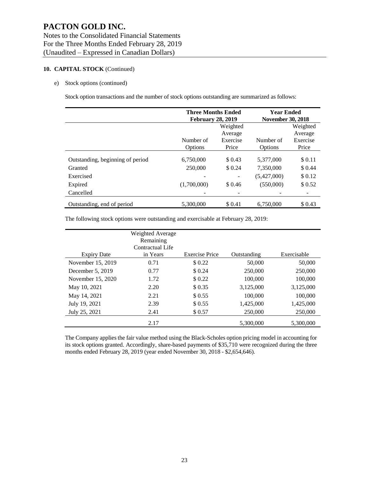#### **10. CAPITAL STOCK** (Continued)

#### e) Stock options (continued)

Stock option transactions and the number of stock options outstanding are summarized as follows:

|                                  | <b>Three Months Ended</b><br><b>February 28, 2019</b> |          | <b>Year Ended</b><br><b>November 30, 2018</b> |          |  |
|----------------------------------|-------------------------------------------------------|----------|-----------------------------------------------|----------|--|
|                                  |                                                       | Weighted |                                               | Weighted |  |
|                                  |                                                       | Average  |                                               | Average  |  |
|                                  | Number of                                             | Exercise | Number of                                     | Exercise |  |
|                                  | Options                                               | Price    | Options                                       | Price    |  |
| Outstanding, beginning of period | 6,750,000                                             | \$0.43   | 5,377,000                                     | \$0.11   |  |
| Granted                          | 250,000                                               | \$0.24   | 7,350,000                                     | \$0.44   |  |
| Exercised                        |                                                       |          | (5,427,000)                                   | \$0.12   |  |
| Expired                          | (1,700,000)                                           | \$0.46   | (550,000)                                     | \$0.52   |  |
| Cancelled                        |                                                       |          |                                               |          |  |
| Outstanding, end of period       | 5,300,000                                             | \$0.41   | 6,750,000                                     | \$ 0.43  |  |

The following stock options were outstanding and exercisable at February 28, 2019:

|                    | Weighted Average<br>Remaining<br>Contractual Life |                       |             |             |
|--------------------|---------------------------------------------------|-----------------------|-------------|-------------|
| <b>Expiry Date</b> | in Years                                          | <b>Exercise Price</b> | Outstanding | Exercisable |
| November 15, 2019  | 0.71                                              | \$0.22                | 50,000      | 50,000      |
| December $5, 2019$ | 0.77                                              | \$0.24                | 250,000     | 250,000     |
| November 15, 2020  | 1.72                                              | \$0.22                | 100,000     | 100,000     |
| May 10, 2021       | 2.20                                              | \$0.35                | 3,125,000   | 3,125,000   |
| May 14, 2021       | 2.21                                              | \$ 0.55               | 100,000     | 100,000     |
| July 19, 2021      | 2.39                                              | \$ 0.55               | 1,425,000   | 1,425,000   |
| July 25, 2021      | 2.41                                              | \$0.57                | 250,000     | 250,000     |
|                    | 2.17                                              |                       | 5,300,000   | 5,300,000   |

The Company applies the fair value method using the Black-Scholes option pricing model in accounting for its stock options granted. Accordingly, share-based payments of \$35,710 were recognized during the three months ended February 28, 2019 (year ended November 30, 2018 - \$2,654,646).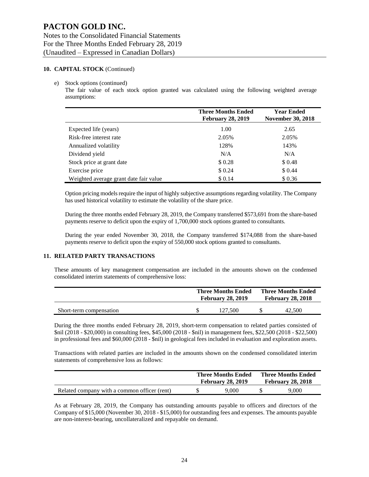#### **10. CAPITAL STOCK** (Continued)

#### e) Stock options (continued)

The fair value of each stock option granted was calculated using the following weighted average assumptions:

|                                        | <b>Three Months Ended</b><br><b>February 28, 2019</b> | <b>Year Ended</b><br><b>November 30, 2018</b> |
|----------------------------------------|-------------------------------------------------------|-----------------------------------------------|
| Expected life (years)                  | 1.00                                                  | 2.65                                          |
| Risk-free interest rate                | 2.05%                                                 | 2.05%                                         |
| Annualized volatility                  | 128%                                                  | 143%                                          |
| Dividend yield                         | N/A                                                   | N/A                                           |
| Stock price at grant date              | \$0.28                                                | \$0.48                                        |
| Exercise price                         | \$0.24                                                | \$0.44                                        |
| Weighted average grant date fair value | \$0.14                                                | \$0.36                                        |

Option pricing models require the input of highly subjective assumptions regarding volatility. The Company has used historical volatility to estimate the volatility of the share price.

During the three months ended February 28, 2019, the Company transferred \$573,691 from the share-based payments reserve to deficit upon the expiry of 1,700,000 stock options granted to consultants.

During the year ended November 30, 2018, the Company transferred \$174,088 from the share-based payments reserve to deficit upon the expiry of 550,000 stock options granted to consultants.

#### **11. RELATED PARTY TRANSACTIONS**

These amounts of key management compensation are included in the amounts shown on the condensed consolidated interim statements of comprehensive loss:

|                         | <b>Three Months Ended</b><br><b>February 28, 2019</b> |         | <b>Three Months Ended</b><br><b>February 28, 2018</b> |        |  |
|-------------------------|-------------------------------------------------------|---------|-------------------------------------------------------|--------|--|
| Short-term compensation |                                                       | 127.500 |                                                       | 42.500 |  |

During the three months ended February 28, 2019, short-term compensation to related parties consisted of \$nil (2018 - \$20,000) in consulting fees, \$45,000 (2018 - \$nil) in management fees, \$22,500 (2018 - \$22,500) in professional fees and \$60,000 (2018 - \$nil) in geological fees included in evaluation and exploration assets.

Transactions with related parties are included in the amounts shown on the condensed consolidated interim statements of comprehensive loss as follows:

|                                              | <b>Three Months Ended</b><br><b>February 28, 2019</b> | <b>Three Months Ended</b><br><b>February 28, 2018</b> |       |  |
|----------------------------------------------|-------------------------------------------------------|-------------------------------------------------------|-------|--|
| Related company with a common officer (rent) | 9.000                                                 |                                                       | 9.000 |  |

As at February 28, 2019, the Company has outstanding amounts payable to officers and directors of the Company of \$15,000 (November 30, 2018 - \$15,000) for outstanding fees and expenses. The amounts payable are non-interest-bearing, uncollateralized and repayable on demand.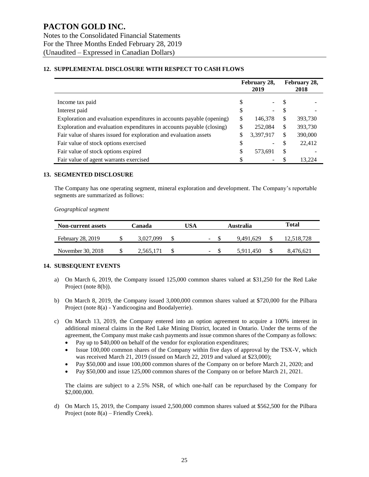#### **12. SUPPLEMENTAL DISCLOSURE WITH RESPECT TO CASH FLOWS**

|                                                                       |    | February 28,<br>2019 |    | February 28,<br>2018 |
|-----------------------------------------------------------------------|----|----------------------|----|----------------------|
| Income tax paid                                                       | S  |                      | S  |                      |
| Interest paid                                                         | \$ |                      | \$ |                      |
| Exploration and evaluation expenditures in accounts payable (opening) | S  | 146,378              | \$ | 393,730              |
| Exploration and evaluation expenditures in accounts payable (closing) | \$ | 252,084              | \$ | 393,730              |
| Fair value of shares issued for exploration and evaluation assets     | \$ | 3,397,917            | \$ | 390,000              |
| Fair value of stock options exercised                                 | \$ |                      | \$ | 22,412               |
| Fair value of stock options expired                                   | \$ | 573,691              | S  |                      |
| Fair value of agent warrants exercised                                |    |                      |    | 13.224               |

#### **13. SEGMENTED DISCLOSURE**

The Company has one operating segment, mineral exploration and development. The Company's reportable segments are summarized as follows:

*Geographical segment*

| <b>Non-current assets</b> | Canada |           | 'JSA | Australia                |  | Total     |            |
|---------------------------|--------|-----------|------|--------------------------|--|-----------|------------|
| February 28, 2019         |        | 3.027.099 |      | $\overline{\phantom{0}}$ |  | 9.491.629 | 12.518.728 |
| November 30, 2018         |        | 2,565,171 |      | $\sim$                   |  | 5.911.450 | 8,476,621  |

#### **14. SUBSEQUENT EVENTS**

- a) On March 6, 2019, the Company issued 125,000 common shares valued at \$31,250 for the Red Lake Project (note 8(b)).
- b) On March 8, 2019, the Company issued 3,000,000 common shares valued at \$720,000 for the Pilbara Project (note 8(a) - Yandicoogina and Boodalyerrie).
- c) On March 13, 2019, the Company entered into an option agreement to acquire a 100% interest in additional mineral claims in the Red Lake Mining District, located in Ontario. Under the terms of the agreement, the Company must make cash payments and issue common shares of the Company as follows:
	- Pay up to \$40,000 on behalf of the vendor for exploration expenditures;
	- Issue 100,000 common shares of the Company within five days of approval by the TSX-V, which was received March 21, 2019 (issued on March 22, 2019 and valued at \$23,000);
	- Pay \$50,000 and issue 100,000 common shares of the Company on or before March 21, 2020; and
	- Pay \$50,000 and issue 125,000 common shares of the Company on or before March 21, 2021.

The claims are subject to a 2.5% NSR, of which one-half can be repurchased by the Company for \$2,000,000.

d) On March 15, 2019, the Company issued 2,500,000 common shares valued at \$562,500 for the Pilbara Project (note 8(a) – Friendly Creek).